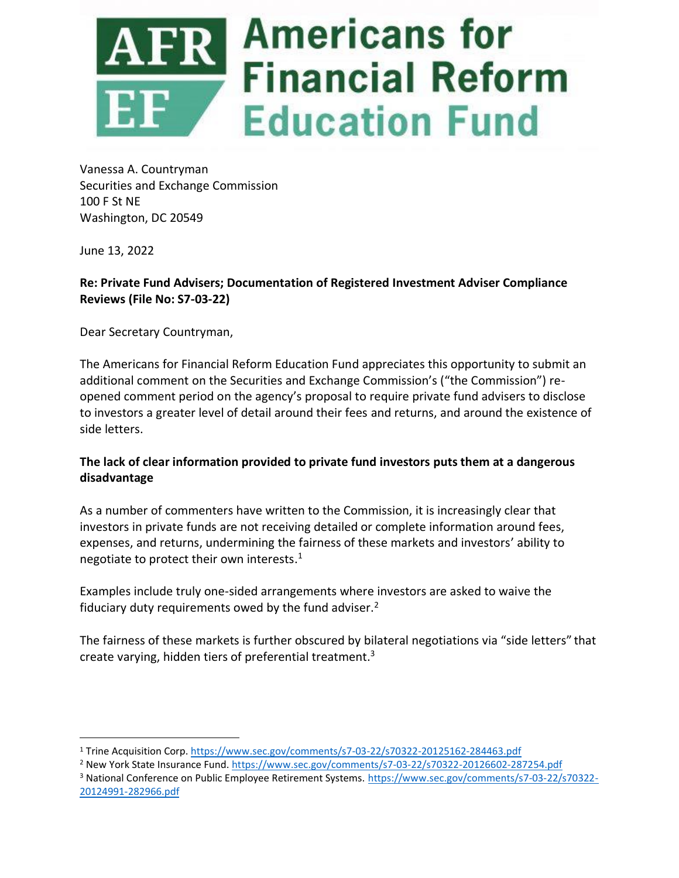

Vanessa A. Countryman Securities and Exchange Commission 100 F St NE Washington, DC 20549

June 13, 2022

# **Re: Private Fund Advisers; Documentation of Registered Investment Adviser Compliance Reviews (File No: S7-03-22)**

Dear Secretary Countryman,

The Americans for Financial Reform Education Fund appreciates this opportunity to submit an additional comment on the Securities and Exchange Commission's ("the Commission") reopened comment period on the agency's proposal to require private fund advisers to disclose to investors a greater level of detail around their fees and returns, and around the existence of side letters.

# **The lack of clear information provided to private fund investors puts them at a dangerous disadvantage**

As a number of commenters have written to the Commission, it is increasingly clear that investors in private funds are not receiving detailed or complete information around fees, expenses, and returns, undermining the fairness of these markets and investors' ability to negotiate to protect their own interests.<sup>1</sup>

Examples include truly one-sided arrangements where investors are asked to waive the fiduciary duty requirements owed by the fund adviser.<sup>2</sup>

The fairness of these markets is further obscured by bilateral negotiations via "side letters" that create varying, hidden tiers of preferential treatment. 3

<sup>1</sup> Trine Acquisition Corp.<https://www.sec.gov/comments/s7-03-22/s70322-20125162-284463.pdf>

<sup>2</sup> New York State Insurance Fund.<https://www.sec.gov/comments/s7-03-22/s70322-20126602-287254.pdf>

<sup>3</sup> National Conference on Public Employee Retirement Systems[. https://www.sec.gov/comments/s7-03-22/s70322-](https://www.sec.gov/comments/s7-03-22/s70322-20124991-282966.pdf) [20124991-282966.pdf](https://www.sec.gov/comments/s7-03-22/s70322-20124991-282966.pdf)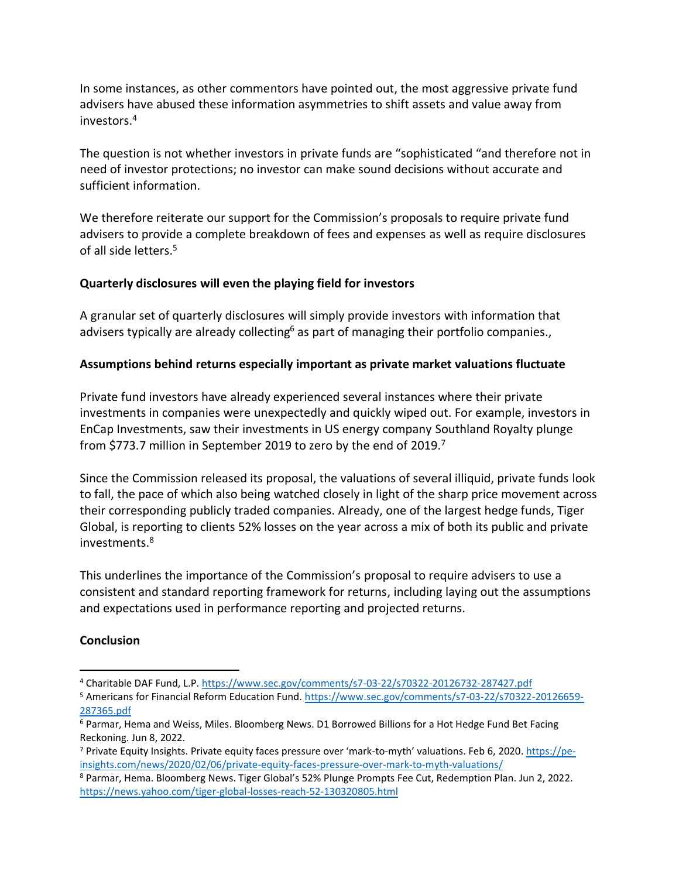In some instances, as other commentors have pointed out, the most aggressive private fund advisers have abused these information asymmetries to shift assets and value away from investors.<sup>4</sup>

The question is not whether investors in private funds are "sophisticated "and therefore not in need of investor protections; no investor can make sound decisions without accurate and sufficient information.

We therefore reiterate our support for the Commission's proposals to require private fund advisers to provide a complete breakdown of fees and expenses as well as require disclosures of all side letters.<sup>5</sup>

## **Quarterly disclosures will even the playing field for investors**

A granular set of quarterly disclosures will simply provide investors with information that advisers typically are already collecting<sup>6</sup> as part of managing their portfolio companies.,

# **Assumptions behind returns especially important as private market valuations fluctuate**

Private fund investors have already experienced several instances where their private investments in companies were unexpectedly and quickly wiped out. For example, investors in EnCap Investments, saw their investments in US energy company Southland Royalty plunge from \$773.7 million in September 2019 to zero by the end of 2019.<sup>7</sup>

Since the Commission released its proposal, the valuations of several illiquid, private funds look to fall, the pace of which also being watched closely in light of the sharp price movement across their corresponding publicly traded companies. Already, one of the largest hedge funds, Tiger Global, is reporting to clients 52% losses on the year across a mix of both its public and private investments.<sup>8</sup>

This underlines the importance of the Commission's proposal to require advisers to use a consistent and standard reporting framework for returns, including laying out the assumptions and expectations used in performance reporting and projected returns.

## **Conclusion**

<sup>4</sup> Charitable DAF Fund, L.P.<https://www.sec.gov/comments/s7-03-22/s70322-20126732-287427.pdf>

<sup>5</sup> Americans for Financial Reform Education Fund. [https://www.sec.gov/comments/s7-03-22/s70322-20126659-](https://www.sec.gov/comments/s7-03-22/s70322-20126659-287365.pdf) [287365.pdf](https://www.sec.gov/comments/s7-03-22/s70322-20126659-287365.pdf)

<sup>6</sup> Parmar, Hema and Weiss, Miles. Bloomberg News. D1 Borrowed Billions for a Hot Hedge Fund Bet Facing Reckoning. Jun 8, 2022.

<sup>7</sup> Private Equity Insights. Private equity faces pressure over 'mark-to-myth' valuations. Feb 6, 2020. [https://pe](https://pe-insights.com/news/2020/02/06/private-equity-faces-pressure-over-mark-to-myth-valuations/)[insights.com/news/2020/02/06/private-equity-faces-pressure-over-mark-to-myth-valuations/](https://pe-insights.com/news/2020/02/06/private-equity-faces-pressure-over-mark-to-myth-valuations/)

<sup>8</sup> Parmar, Hema. Bloomberg News. Tiger Global's 52% Plunge Prompts Fee Cut, Redemption Plan. Jun 2, 2022. <https://news.yahoo.com/tiger-global-losses-reach-52-130320805.html>